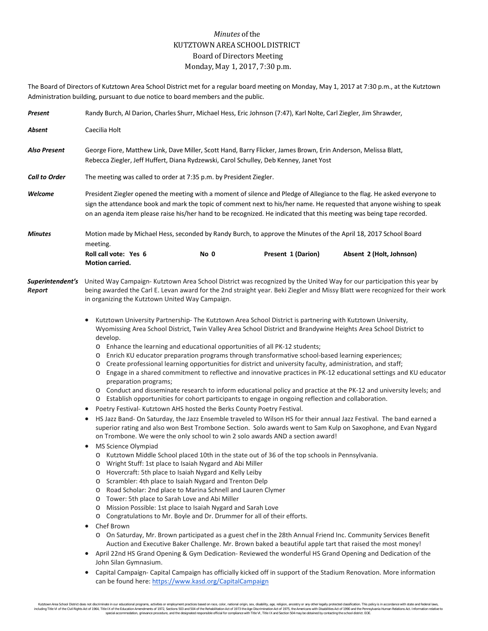## *Minutes* of the KUTZTOWN AREA SCHOOL DISTRICT Board of Directors Meeting Monday, May 1, 2017, 7:30 p.m.

The Board of Directors of Kutztown Area School District met for a regular board meeting on Monday, May 1, 2017 at 7:30 p.m., at the Kutztown Administration building, pursuant to due notice to board members and the public.

| Present                    | Randy Burch, Al Darion, Charles Shurr, Michael Hess, Eric Johnson (7:47), Karl Nolte, Carl Ziegler, Jim Shrawder,                                                                                                                                                                                                                                                                                                                                                                                                                                                                                                                                                                                                                                                                                                                                                                                                                                                                                                                                                                                                                                                                                                                                                                                                                                                                                                                                                                                                                                                                                                                                                                                                                                                                                                                                                                                                                                                                                                                                                                                                                                                                                                                                                                                                                                                                                                                                                                                                                                                                                                              |  |  |  |  |  |
|----------------------------|--------------------------------------------------------------------------------------------------------------------------------------------------------------------------------------------------------------------------------------------------------------------------------------------------------------------------------------------------------------------------------------------------------------------------------------------------------------------------------------------------------------------------------------------------------------------------------------------------------------------------------------------------------------------------------------------------------------------------------------------------------------------------------------------------------------------------------------------------------------------------------------------------------------------------------------------------------------------------------------------------------------------------------------------------------------------------------------------------------------------------------------------------------------------------------------------------------------------------------------------------------------------------------------------------------------------------------------------------------------------------------------------------------------------------------------------------------------------------------------------------------------------------------------------------------------------------------------------------------------------------------------------------------------------------------------------------------------------------------------------------------------------------------------------------------------------------------------------------------------------------------------------------------------------------------------------------------------------------------------------------------------------------------------------------------------------------------------------------------------------------------------------------------------------------------------------------------------------------------------------------------------------------------------------------------------------------------------------------------------------------------------------------------------------------------------------------------------------------------------------------------------------------------------------------------------------------------------------------------------------------------|--|--|--|--|--|
| Absent                     | Caecilia Holt                                                                                                                                                                                                                                                                                                                                                                                                                                                                                                                                                                                                                                                                                                                                                                                                                                                                                                                                                                                                                                                                                                                                                                                                                                                                                                                                                                                                                                                                                                                                                                                                                                                                                                                                                                                                                                                                                                                                                                                                                                                                                                                                                                                                                                                                                                                                                                                                                                                                                                                                                                                                                  |  |  |  |  |  |
| Also Present               | George Fiore, Matthew Link, Dave Miller, Scott Hand, Barry Flicker, James Brown, Erin Anderson, Melissa Blatt,<br>Rebecca Ziegler, Jeff Huffert, Diana Rydzewski, Carol Schulley, Deb Kenney, Janet Yost                                                                                                                                                                                                                                                                                                                                                                                                                                                                                                                                                                                                                                                                                                                                                                                                                                                                                                                                                                                                                                                                                                                                                                                                                                                                                                                                                                                                                                                                                                                                                                                                                                                                                                                                                                                                                                                                                                                                                                                                                                                                                                                                                                                                                                                                                                                                                                                                                       |  |  |  |  |  |
| <b>Call to Order</b>       | The meeting was called to order at 7:35 p.m. by President Ziegler.                                                                                                                                                                                                                                                                                                                                                                                                                                                                                                                                                                                                                                                                                                                                                                                                                                                                                                                                                                                                                                                                                                                                                                                                                                                                                                                                                                                                                                                                                                                                                                                                                                                                                                                                                                                                                                                                                                                                                                                                                                                                                                                                                                                                                                                                                                                                                                                                                                                                                                                                                             |  |  |  |  |  |
| Welcome                    | President Ziegler opened the meeting with a moment of silence and Pledge of Allegiance to the flag. He asked everyone to<br>sign the attendance book and mark the topic of comment next to his/her name. He requested that anyone wishing to speak<br>on an agenda item please raise his/her hand to be recognized. He indicated that this meeting was being tape recorded.                                                                                                                                                                                                                                                                                                                                                                                                                                                                                                                                                                                                                                                                                                                                                                                                                                                                                                                                                                                                                                                                                                                                                                                                                                                                                                                                                                                                                                                                                                                                                                                                                                                                                                                                                                                                                                                                                                                                                                                                                                                                                                                                                                                                                                                    |  |  |  |  |  |
| <b>Minutes</b>             | Motion made by Michael Hess, seconded by Randy Burch, to approve the Minutes of the April 18, 2017 School Board<br>meeting.                                                                                                                                                                                                                                                                                                                                                                                                                                                                                                                                                                                                                                                                                                                                                                                                                                                                                                                                                                                                                                                                                                                                                                                                                                                                                                                                                                                                                                                                                                                                                                                                                                                                                                                                                                                                                                                                                                                                                                                                                                                                                                                                                                                                                                                                                                                                                                                                                                                                                                    |  |  |  |  |  |
|                            | Roll call vote: Yes 6<br>No 0<br>Present 1 (Darion)<br>Absent 2 (Holt, Johnson)<br>Motion carried.                                                                                                                                                                                                                                                                                                                                                                                                                                                                                                                                                                                                                                                                                                                                                                                                                                                                                                                                                                                                                                                                                                                                                                                                                                                                                                                                                                                                                                                                                                                                                                                                                                                                                                                                                                                                                                                                                                                                                                                                                                                                                                                                                                                                                                                                                                                                                                                                                                                                                                                             |  |  |  |  |  |
| Superintendent's<br>Report | United Way Campaign-Kutztown Area School District was recognized by the United Way for our participation this year by<br>being awarded the Carl E. Levan award for the 2nd straight year. Beki Ziegler and Missy Blatt were recognized for their work<br>in organizing the Kutztown United Way Campaign.                                                                                                                                                                                                                                                                                                                                                                                                                                                                                                                                                                                                                                                                                                                                                                                                                                                                                                                                                                                                                                                                                                                                                                                                                                                                                                                                                                                                                                                                                                                                                                                                                                                                                                                                                                                                                                                                                                                                                                                                                                                                                                                                                                                                                                                                                                                       |  |  |  |  |  |
|                            | Kutztown University Partnership- The Kutztown Area School District is partnering with Kutztown University,<br>$\bullet$<br>Wyomissing Area School District, Twin Valley Area School District and Brandywine Heights Area School District to<br>develop.<br>o Enhance the learning and educational opportunities of all PK-12 students;<br>Enrich KU educator preparation programs through transformative school-based learning experiences;<br>O<br>Create professional learning opportunities for district and university faculty, administration, and staff;<br>O<br>Engage in a shared commitment to reflective and innovative practices in PK-12 educational settings and KU educator<br>O<br>preparation programs;<br>O Conduct and disseminate research to inform educational policy and practice at the PK-12 and university levels; and<br>o Establish opportunities for cohort participants to engage in ongoing reflection and collaboration.<br>Poetry Festival- Kutztown AHS hosted the Berks County Poetry Festival.<br>$\bullet$<br>HS Jazz Band- On Saturday, the Jazz Ensemble traveled to Wilson HS for their annual Jazz Festival. The band earned a<br>$\bullet$<br>superior rating and also won Best Trombone Section. Solo awards went to Sam Kulp on Saxophone, and Evan Nygard<br>on Trombone. We were the only school to win 2 solo awards AND a section award!<br>MS Science Olympiad<br>$\bullet$<br>Kutztown Middle School placed 10th in the state out of 36 of the top schools in Pennsylvania.<br>O Wright Stuff: 1st place to Isaiah Nygard and Abi Miller<br>Hovercraft: 5th place to Isaiah Nygard and Kelly Leiby<br>O<br>Scrambler: 4th place to Isaiah Nygard and Trenton Delp<br>O<br>Road Scholar: 2nd place to Marina Schnell and Lauren Clymer<br>O<br>Tower: 5th place to Sarah Love and Abi Miller<br>$\circ$<br>Mission Possible: 1st place to Isaiah Nygard and Sarah Love<br>O<br>Congratulations to Mr. Boyle and Dr. Drummer for all of their efforts.<br>$\circ$<br>Chef Brown<br>$\bullet$<br>O On Saturday, Mr. Brown participated as a guest chef in the 28th Annual Friend Inc. Community Services Benefit<br>Auction and Executive Baker Challenge. Mr. Brown baked a beautiful apple tart that raised the most money!<br>April 22nd HS Grand Opening & Gym Dedication-Reviewed the wonderful HS Grand Opening and Dedication of the<br>$\bullet$<br>John Silan Gymnasium.<br>Capital Campaign- Capital Campaign has officially kicked off in support of the Stadium Renovation. More information<br>$\bullet$<br>can be found here: https://www.kasd.org/CapitalCampaign |  |  |  |  |  |

Kutztown Area School District does not discriminate in our educational programs, activities or employment practices based on race, color, national origin, sex, disability, age, religion, ancestry or any other legally prote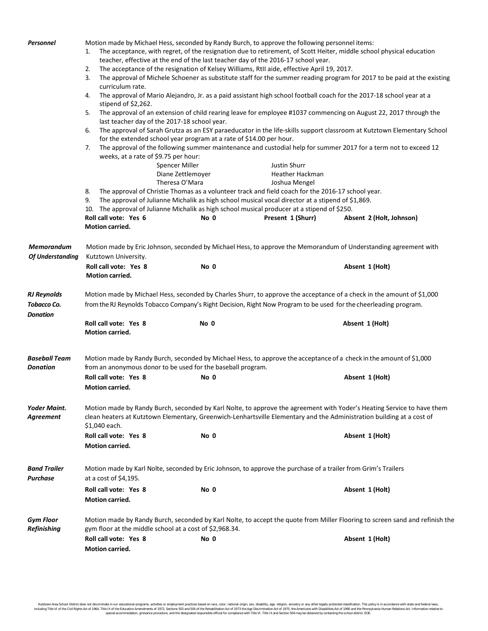| Personnel                       | Motion made by Michael Hess, seconded by Randy Burch, to approve the following personnel items:<br>The acceptance, with regret, of the resignation due to retirement, of Scott Heiter, middle school physical education<br>1.<br>teacher, effective at the end of the last teacher day of the 2016-17 school year.<br>The acceptance of the resignation of Kelsey Williams, RtII aide, effective April 19, 2017.<br>2.<br>The approval of Michele Schoener as substitute staff for the summer reading program for 2017 to be paid at the existing<br>3.<br>curriculum rate.<br>The approval of Mario Alejandro, Jr. as a paid assistant high school football coach for the 2017-18 school year at a<br>4.<br>stipend of \$2,262.<br>The approval of an extension of child rearing leave for employee #1037 commencing on August 22, 2017 through the<br>5.<br>last teacher day of the 2017-18 school year.<br>6.<br>The approval of Sarah Grutza as an ESY paraeducator in the life-skills support classroom at Kutztown Elementary School<br>for the extended school year program at a rate of \$14.00 per hour.<br>The approval of the following summer maintenance and custodial help for summer 2017 for a term not to exceed 12<br>7.<br>weeks, at a rate of \$9.75 per hour: |                                                                                                                  |                                                                                                                       |                                               |  |  |  |                                                                                                         |  |  |  |  |  |
|---------------------------------|------------------------------------------------------------------------------------------------------------------------------------------------------------------------------------------------------------------------------------------------------------------------------------------------------------------------------------------------------------------------------------------------------------------------------------------------------------------------------------------------------------------------------------------------------------------------------------------------------------------------------------------------------------------------------------------------------------------------------------------------------------------------------------------------------------------------------------------------------------------------------------------------------------------------------------------------------------------------------------------------------------------------------------------------------------------------------------------------------------------------------------------------------------------------------------------------------------------------------------------------------------------------------------|------------------------------------------------------------------------------------------------------------------|-----------------------------------------------------------------------------------------------------------------------|-----------------------------------------------|--|--|--|---------------------------------------------------------------------------------------------------------|--|--|--|--|--|
|                                 |                                                                                                                                                                                                                                                                                                                                                                                                                                                                                                                                                                                                                                                                                                                                                                                                                                                                                                                                                                                                                                                                                                                                                                                                                                                                                    |                                                                                                                  |                                                                                                                       |                                               |  |  |  |                                                                                                         |  |  |  |  |  |
|                                 |                                                                                                                                                                                                                                                                                                                                                                                                                                                                                                                                                                                                                                                                                                                                                                                                                                                                                                                                                                                                                                                                                                                                                                                                                                                                                    |                                                                                                                  |                                                                                                                       |                                               |  |  |  | Spencer Miller<br>Justin Shurr                                                                          |  |  |  |  |  |
|                                 |                                                                                                                                                                                                                                                                                                                                                                                                                                                                                                                                                                                                                                                                                                                                                                                                                                                                                                                                                                                                                                                                                                                                                                                                                                                                                    |                                                                                                                  |                                                                                                                       |                                               |  |  |  | Heather Hackman<br>Diane Zettlemoyer                                                                    |  |  |  |  |  |
|                                 |                                                                                                                                                                                                                                                                                                                                                                                                                                                                                                                                                                                                                                                                                                                                                                                                                                                                                                                                                                                                                                                                                                                                                                                                                                                                                    |                                                                                                                  |                                                                                                                       |                                               |  |  |  | Theresa O'Mara<br>Joshua Mengel                                                                         |  |  |  |  |  |
|                                 |                                                                                                                                                                                                                                                                                                                                                                                                                                                                                                                                                                                                                                                                                                                                                                                                                                                                                                                                                                                                                                                                                                                                                                                                                                                                                    |                                                                                                                  |                                                                                                                       |                                               |  |  |  | The approval of Christie Thomas as a volunteer track and field coach for the 2016-17 school year.<br>8. |  |  |  |  |  |
|                                 |                                                                                                                                                                                                                                                                                                                                                                                                                                                                                                                                                                                                                                                                                                                                                                                                                                                                                                                                                                                                                                                                                                                                                                                                                                                                                    | 9.<br>The approval of Julianne Michalik as high school musical vocal director at a stipend of \$1,869.           |                                                                                                                       |                                               |  |  |  |                                                                                                         |  |  |  |  |  |
|                                 |                                                                                                                                                                                                                                                                                                                                                                                                                                                                                                                                                                                                                                                                                                                                                                                                                                                                                                                                                                                                                                                                                                                                                                                                                                                                                    | 10. The approval of Julianne Michalik as high school musical producer at a stipend of \$250.                     |                                                                                                                       |                                               |  |  |  |                                                                                                         |  |  |  |  |  |
|                                 |                                                                                                                                                                                                                                                                                                                                                                                                                                                                                                                                                                                                                                                                                                                                                                                                                                                                                                                                                                                                                                                                                                                                                                                                                                                                                    | Roll call vote: Yes 6<br>Motion carried.                                                                         | No 0                                                                                                                  | Present 1 (Shurr)<br>Absent 2 (Holt, Johnson) |  |  |  |                                                                                                         |  |  |  |  |  |
|                                 | Memorandum                                                                                                                                                                                                                                                                                                                                                                                                                                                                                                                                                                                                                                                                                                                                                                                                                                                                                                                                                                                                                                                                                                                                                                                                                                                                         | Motion made by Eric Johnson, seconded by Michael Hess, to approve the Memorandum of Understanding agreement with |                                                                                                                       |                                               |  |  |  |                                                                                                         |  |  |  |  |  |
| <b>Of Understanding</b>         | Kutztown University.                                                                                                                                                                                                                                                                                                                                                                                                                                                                                                                                                                                                                                                                                                                                                                                                                                                                                                                                                                                                                                                                                                                                                                                                                                                               |                                                                                                                  |                                                                                                                       |                                               |  |  |  |                                                                                                         |  |  |  |  |  |
|                                 | Roll call vote: Yes 8<br>Motion carried.                                                                                                                                                                                                                                                                                                                                                                                                                                                                                                                                                                                                                                                                                                                                                                                                                                                                                                                                                                                                                                                                                                                                                                                                                                           | No 0                                                                                                             | Absent 1 (Holt)                                                                                                       |                                               |  |  |  |                                                                                                         |  |  |  |  |  |
| <b>RJ Reynolds</b>              |                                                                                                                                                                                                                                                                                                                                                                                                                                                                                                                                                                                                                                                                                                                                                                                                                                                                                                                                                                                                                                                                                                                                                                                                                                                                                    |                                                                                                                  | Motion made by Michael Hess, seconded by Charles Shurr, to approve the acceptance of a check in the amount of \$1,000 |                                               |  |  |  |                                                                                                         |  |  |  |  |  |
| Tobacco Co.<br><b>Donation</b>  | from the RJ Reynolds Tobacco Company's Right Decision, Right Now Program to be used for the cheerleading program.                                                                                                                                                                                                                                                                                                                                                                                                                                                                                                                                                                                                                                                                                                                                                                                                                                                                                                                                                                                                                                                                                                                                                                  |                                                                                                                  |                                                                                                                       |                                               |  |  |  |                                                                                                         |  |  |  |  |  |
|                                 | Roll call vote: Yes 8<br>Motion carried.                                                                                                                                                                                                                                                                                                                                                                                                                                                                                                                                                                                                                                                                                                                                                                                                                                                                                                                                                                                                                                                                                                                                                                                                                                           | No 0                                                                                                             | Absent 1 (Holt)                                                                                                       |                                               |  |  |  |                                                                                                         |  |  |  |  |  |
| Baseball Team<br>Donation       | Motion made by Randy Burch, seconded by Michael Hess, to approve the acceptance of a check in the amount of \$1,000<br>from an anonymous donor to be used for the baseball program.                                                                                                                                                                                                                                                                                                                                                                                                                                                                                                                                                                                                                                                                                                                                                                                                                                                                                                                                                                                                                                                                                                |                                                                                                                  |                                                                                                                       |                                               |  |  |  |                                                                                                         |  |  |  |  |  |
|                                 | Roll call vote: Yes 8<br>Motion carried.                                                                                                                                                                                                                                                                                                                                                                                                                                                                                                                                                                                                                                                                                                                                                                                                                                                                                                                                                                                                                                                                                                                                                                                                                                           | No 0                                                                                                             | Absent 1 (Holt)                                                                                                       |                                               |  |  |  |                                                                                                         |  |  |  |  |  |
| Yoder Maint.<br>Agreement       | Motion made by Randy Burch, seconded by Karl Nolte, to approve the agreement with Yoder's Heating Service to have them<br>clean heaters at Kutztown Elementary, Greenwich-Lenhartsville Elementary and the Administration building at a cost of<br>\$1,040 each.                                                                                                                                                                                                                                                                                                                                                                                                                                                                                                                                                                                                                                                                                                                                                                                                                                                                                                                                                                                                                   |                                                                                                                  |                                                                                                                       |                                               |  |  |  |                                                                                                         |  |  |  |  |  |
|                                 | Roll call vote: Yes 8<br><b>Motion carried.</b>                                                                                                                                                                                                                                                                                                                                                                                                                                                                                                                                                                                                                                                                                                                                                                                                                                                                                                                                                                                                                                                                                                                                                                                                                                    | No 0                                                                                                             | Absent 1 (Holt)                                                                                                       |                                               |  |  |  |                                                                                                         |  |  |  |  |  |
| Band Trailer<br>Purchase        | Motion made by Karl Nolte, seconded by Eric Johnson, to approve the purchase of a trailer from Grim's Trailers<br>at a cost of \$4,195.                                                                                                                                                                                                                                                                                                                                                                                                                                                                                                                                                                                                                                                                                                                                                                                                                                                                                                                                                                                                                                                                                                                                            |                                                                                                                  |                                                                                                                       |                                               |  |  |  |                                                                                                         |  |  |  |  |  |
|                                 | Roll call vote: Yes 8<br><b>Motion carried.</b>                                                                                                                                                                                                                                                                                                                                                                                                                                                                                                                                                                                                                                                                                                                                                                                                                                                                                                                                                                                                                                                                                                                                                                                                                                    | No 0                                                                                                             | Absent 1 (Holt)                                                                                                       |                                               |  |  |  |                                                                                                         |  |  |  |  |  |
| <b>Gym Floor</b><br>Refinishing | Motion made by Randy Burch, seconded by Karl Nolte, to accept the quote from Miller Flooring to screen sand and refinish the<br>gym floor at the middle school at a cost of \$2,968.34.                                                                                                                                                                                                                                                                                                                                                                                                                                                                                                                                                                                                                                                                                                                                                                                                                                                                                                                                                                                                                                                                                            |                                                                                                                  |                                                                                                                       |                                               |  |  |  |                                                                                                         |  |  |  |  |  |
|                                 | Roll call vote: Yes 8<br>Motion carried.                                                                                                                                                                                                                                                                                                                                                                                                                                                                                                                                                                                                                                                                                                                                                                                                                                                                                                                                                                                                                                                                                                                                                                                                                                           | No 0                                                                                                             | Absent 1 (Holt)                                                                                                       |                                               |  |  |  |                                                                                                         |  |  |  |  |  |

Kutztown Area School District does not discriminate in our educational programs, activities or employment practices based on race, color, national origin, sex, disability, age, religion, ancestry or any other legally prote